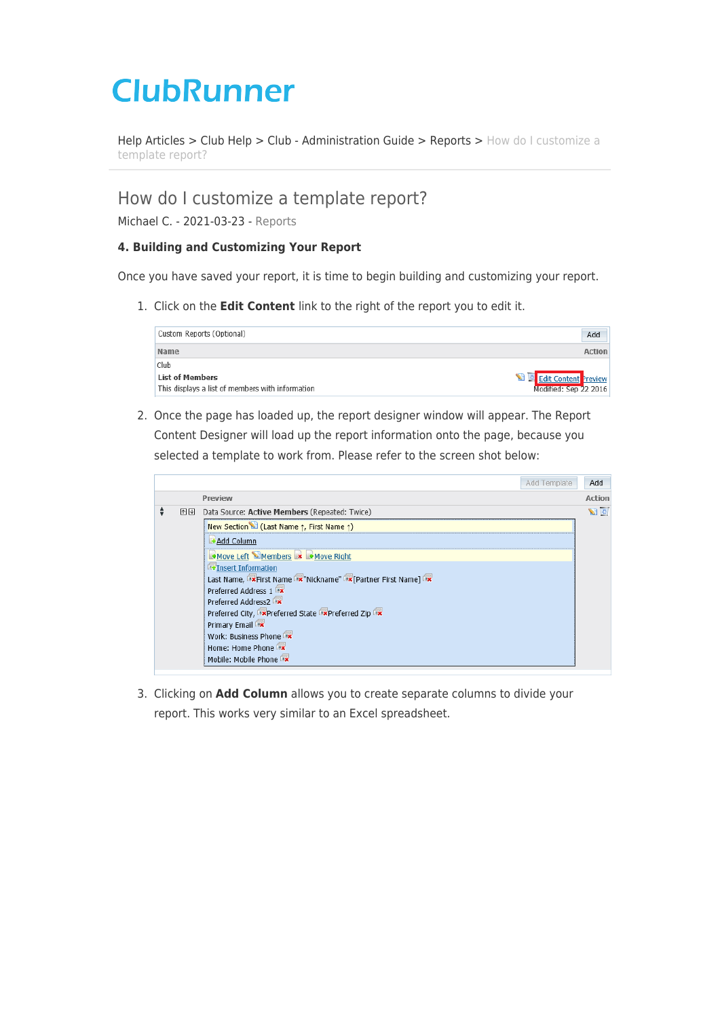# **ClubRunner**

[Help Articles](https://www.clubrunnersupport.com/kb) > [Club Help](https://www.clubrunnersupport.com/kb/club-help) > [Club - Administration Guide](https://www.clubrunnersupport.com/kb/club-administration-guide) > [Reports](https://www.clubrunnersupport.com/kb/reports) > [How do I customize a](https://www.clubrunnersupport.com/kb/articles/how-do-i-customize-a-template-report) [template report?](https://www.clubrunnersupport.com/kb/articles/how-do-i-customize-a-template-report)

# How do I customize a template report?

Michael C. - 2021-03-23 - [Reports](https://www.clubrunnersupport.com/kb/reports)

# **4. Building and Customizing Your Report**

Once you have saved your report, it is time to begin building and customizing your report.

1. Click on the **Edit Content** link to the right of the report you to edit it.

| Custom Reports (Optional)                        | Add                   |
|--------------------------------------------------|-----------------------|
| <b>Name</b>                                      | <b>Action</b>         |
| Club                                             |                       |
| <b>List of Members</b>                           | Edit Content Preview  |
| This displays a list of members with information | Modified: Sep 22 2016 |

2. Once the page has loaded up, the report designer window will appear. The Report Content Designer will load up the report information onto the page, because you selected a template to work from. Please refer to the screen shot below:



3. Clicking on **Add Column** allows you to create separate columns to divide your report. This works very similar to an Excel spreadsheet.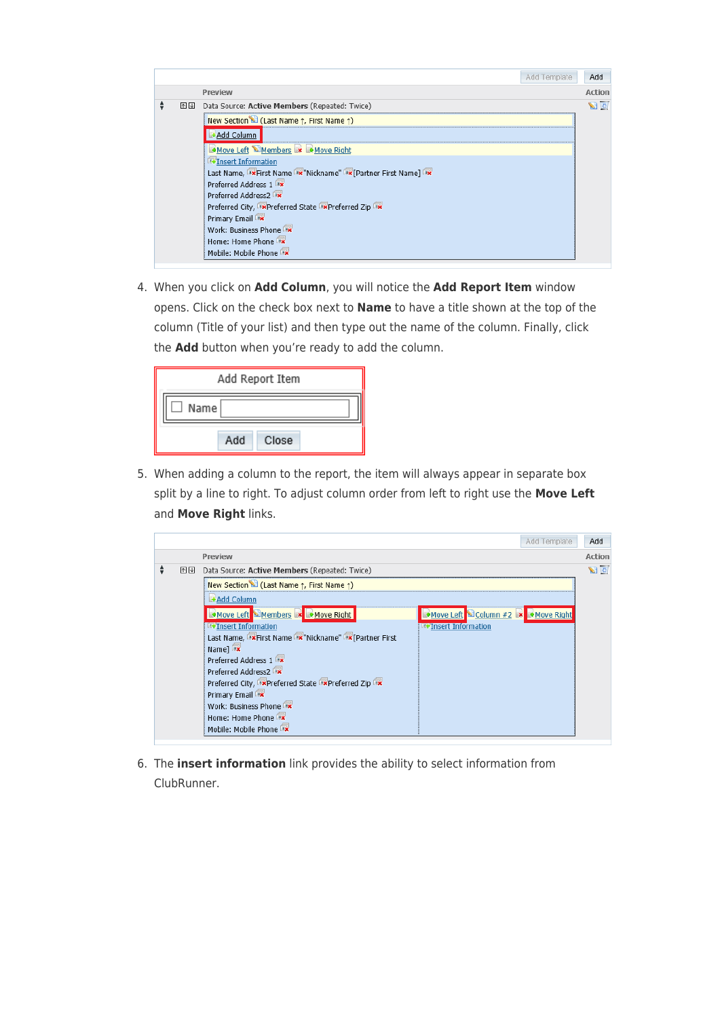|    | Add Template                                                             | Add        |
|----|--------------------------------------------------------------------------|------------|
|    | Preview                                                                  | Action     |
| 不平 | Data Source: Active Members (Repeated: Twice)                            | $\sqrt{2}$ |
|    | New Section <sup>1</sup> (Last Name $\uparrow$ , First Name $\uparrow$ ) |            |
|    | +Add Column                                                              |            |
|    | Move Left Members x Move Right                                           |            |
|    | <b>T+Insert Information</b>                                              |            |
|    | Last Name, IX First Name IX "Nickname" IX [Partner First Name] IX        |            |
|    | Preferred Address 1                                                      |            |
|    | Preferred Address2                                                       |            |
|    | Preferred City, ** Preferred State ** Preferred Zip                      |            |
|    | Primary Email                                                            |            |
|    | Work: Business Phone                                                     |            |
|    | Home: Home Phone                                                         |            |
|    | Mobile: Mobile Phone                                                     |            |

4. When you click on **Add Column**, you will notice the **Add Report Item** window opens. Click on the check box next to **Name** to have a title shown at the top of the column (Title of your list) and then type out the name of the column. Finally, click the **Add** button when you're ready to add the column.

|      |     | Add Report Item |  |
|------|-----|-----------------|--|
| Name |     |                 |  |
|      | Add | Close           |  |

5. When adding a column to the report, the item will always appear in separate box split by a line to right. To adjust column order from left to right use the **Move Left** and **Move Right** links.

|   |    |                                                                           | Add Template | Add            |
|---|----|---------------------------------------------------------------------------|--------------|----------------|
|   |    | Preview                                                                   |              | <b>Action</b>  |
| ÷ | 不平 | Data Source: Active Members (Repeated: Twice)                             |              | $\blacksquare$ |
|   |    | New Section C (Last Name 1, First Name 1)                                 |              |                |
|   |    | <b>+Add Column</b>                                                        |              |                |
|   |    | Move Left Members <b>x</b> Move Right<br>Move Left Column #2 X Move Right |              |                |
|   |    | <b>EFInsert Information</b><br><b>EFInsert Information</b>                |              |                |
|   |    | Last Name, IX First Name IX "Nickname" IX [Partner First                  |              |                |
|   |    | Name]                                                                     |              |                |
|   |    | Preferred Address 1                                                       |              |                |
|   |    | Preferred Address2                                                        |              |                |
|   |    | Preferred City, ** Preferred State ** Preferred Zip                       |              |                |
|   |    | Primary Email                                                             |              |                |
|   |    | Work: Business Phone                                                      |              |                |
|   |    | Home: Home Phone                                                          |              |                |
|   |    | Mobile: Mobile Phone                                                      |              |                |

6. The **insert information** link provides the ability to select information from ClubRunner.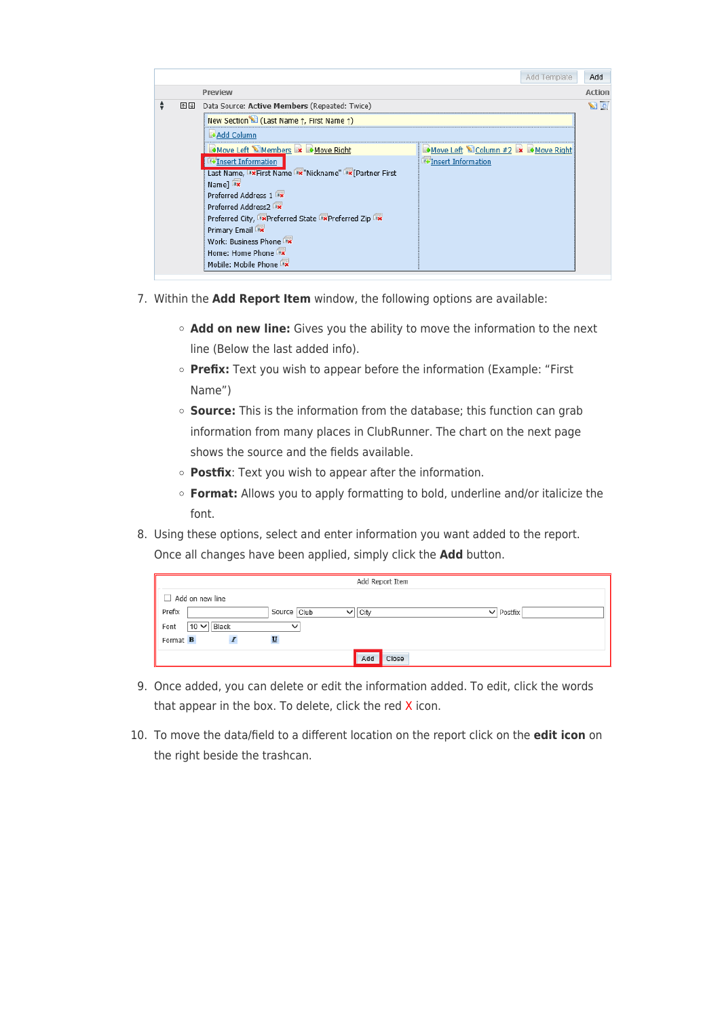|    |                                                                | Add Template                     | Add              |
|----|----------------------------------------------------------------|----------------------------------|------------------|
|    | Preview                                                        |                                  | <b>Action</b>    |
| 不平 | Data Source: Active Members (Repeated: Twice)                  |                                  | $\sum_{i=1}^{n}$ |
|    | New Section C (Last Name 1, First Name 1)                      |                                  |                  |
|    | <b>+Add Column</b>                                             |                                  |                  |
|    | Move Left Members * Move Right                                 | Move Left Column #2 x Move Right |                  |
|    | <b>T+Insert Information</b>                                    | <b>External Information</b>      |                  |
|    | Last Name, I ** First Name I ** "Nickname" I ** [Partner First |                                  |                  |
|    | Name]                                                          |                                  |                  |
|    | Preferred Address 1                                            |                                  |                  |
|    | Preferred Address2                                             |                                  |                  |
|    | Preferred City, "*Preferred State "*Preferred Zip              |                                  |                  |
|    | Primary Email                                                  |                                  |                  |
|    | Work: Business Phone                                           |                                  |                  |
|    | Home: Home Phone                                               |                                  |                  |
|    | Mobile: Mobile Phone                                           |                                  |                  |

- 7. Within the **Add Report Item** window, the following options are available:
	- **Add on new line:** Gives you the ability to move the information to the next line (Below the last added info).
	- **Prefix:** Text you wish to appear before the information (Example: "First Name")
	- **Source:** This is the information from the database; this function can grab information from many places in ClubRunner. The chart on the next page shows the source and the fields available.
	- **Postfix**: Text you wish to appear after the information.
	- **Format:** Allows you to apply formatting to bold, underline and/or italicize the font.
- 8. Using these options, select and enter information you want added to the report. Once all changes have been applied, simply click the **Add** button.

|                            |              | Add Report Item |                  |
|----------------------------|--------------|-----------------|------------------|
| Add on new line            |              |                 |                  |
| Prefix                     | Source Club  | City<br>◡       | $\vee$   Postfix |
| Font<br>Black<br>$10 \vee$ | $\checkmark$ |                 |                  |
| Format <b>B</b>            |              |                 |                  |
|                            |              | Add<br>Close    |                  |

- 9. Once added, you can delete or edit the information added. To edit, click the words that appear in the box. To delete, click the red X icon.
- 10. To move the data/field to a different location on the report click on the **edit icon** on the right beside the trashcan.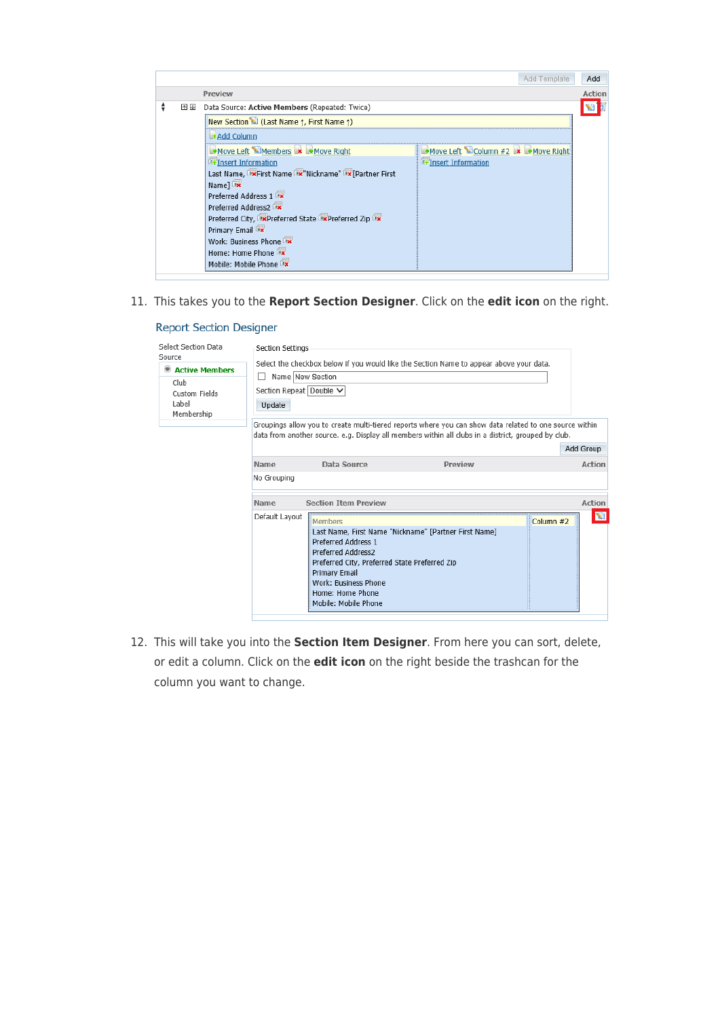|    |                                                             | Add Template                     | Add    |
|----|-------------------------------------------------------------|----------------------------------|--------|
|    | Preview                                                     |                                  | Action |
| 个业 | Data Source: Active Members (Repeated: Twice)               |                                  |        |
|    | New Section (Last Name $\uparrow$ , First Name $\uparrow$ ) |                                  |        |
|    | <b>Add Column</b>                                           |                                  |        |
|    | Move Left Members x Move Right                              | Move Left Column #2 x Move Right |        |
|    | <b>T+Insert Information</b>                                 | <b>External Information</b>      |        |
|    | Last Name, IX First Name IX "Nickname" IX [Partner First    |                                  |        |
|    | Name]                                                       |                                  |        |
|    | Preferred Address 1                                         |                                  |        |
|    | Preferred Address2                                          |                                  |        |
|    | Preferred City, Expreferred State Expreferred Zip           |                                  |        |
|    | Primary Email                                               |                                  |        |
|    | Work: Business Phone                                        |                                  |        |
|    | Home: Home Phone                                            |                                  |        |
|    | Mobile: Mobile Phone                                        |                                  |        |

11. This takes you to the **Report Section Designer**. Click on the **edit icon** on the right.

| Select Section Data<br>Source<br>Active Members<br>Club<br>Custom Fields<br>I abel<br>Membership | Section Settings<br>Name New Section<br>Section Repeat Double V<br>Update |                                                                                                                                                                                                   | Select the checkbox below if you would like the Section Name to appear above your data.                                                                                                                        |             |               |
|--------------------------------------------------------------------------------------------------|---------------------------------------------------------------------------|---------------------------------------------------------------------------------------------------------------------------------------------------------------------------------------------------|----------------------------------------------------------------------------------------------------------------------------------------------------------------------------------------------------------------|-------------|---------------|
|                                                                                                  |                                                                           |                                                                                                                                                                                                   | Groupings allow you to create multi-tiered reports where you can show data related to one source within<br>data from another source. e.g. Display all members within all clubs in a district, grouped by club. |             | Add Group     |
|                                                                                                  | Name                                                                      | Data Source                                                                                                                                                                                       | Preview                                                                                                                                                                                                        |             | <b>Action</b> |
|                                                                                                  | No Grouping                                                               |                                                                                                                                                                                                   |                                                                                                                                                                                                                |             |               |
|                                                                                                  | Name                                                                      | <b>Section Item Preview</b>                                                                                                                                                                       |                                                                                                                                                                                                                |             | Action        |
|                                                                                                  | Default Layout                                                            | Members<br><b>Preferred Address 1</b><br>Preferred Address2<br>Preferred City, Preferred State Preferred Zip<br>Primary Email<br>Work: Business Phone<br>Home: Home Phone<br>Mobile: Mobile Phone | Last Name, First Name "Nickname" [Partner First Name]                                                                                                                                                          | Column $#2$ | S             |

**Report Section Designer** 

12. This will take you into the **Section Item Designer**. From here you can sort, delete, or edit a column. Click on the **edit icon** on the right beside the trashcan for the column you want to change.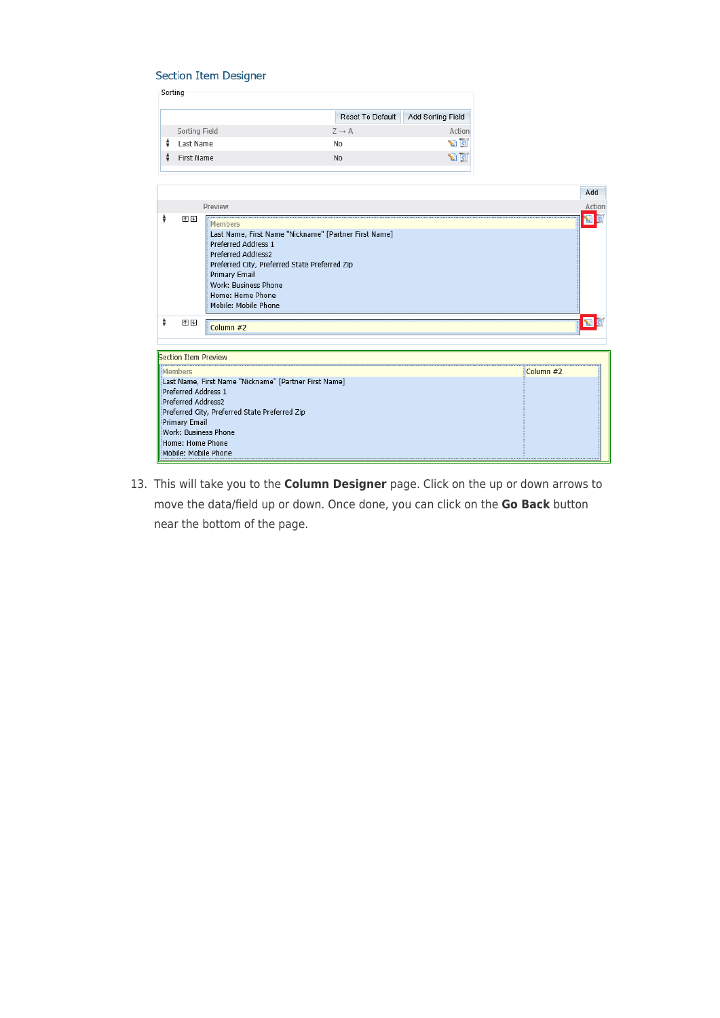#### **Section Item Designer**

|               | Reset To Default  | Add Sorting Field     |
|---------------|-------------------|-----------------------|
| Sorting Field | $Z \rightarrow A$ | Action                |
| Last Name     | No                | $\sum_{i=1}^{n}$      |
| First Name    | No                | $\mathbb{Z}$ $\alpha$ |
|               |                   |                       |

|                 |                                                                                |                                                                                                                                                                                                                                                     | Add          |
|-----------------|--------------------------------------------------------------------------------|-----------------------------------------------------------------------------------------------------------------------------------------------------------------------------------------------------------------------------------------------------|--------------|
|                 |                                                                                | Preview                                                                                                                                                                                                                                             | Action       |
| ÷               | 个业                                                                             | Members<br>Last Name, First Name "Nickname" [Partner First Name]<br>Preferred Address 1<br>Preferred Address2<br>Preferred City, Preferred State Preferred Zip<br>Primary Email<br>Work: Business Phone<br>Home: Home Phone<br>Mobile: Mobile Phone | Ø            |
| ÷               | 个业                                                                             | Column #2                                                                                                                                                                                                                                           | $\mathbf{z}$ |
|                 | Section Item Preview                                                           |                                                                                                                                                                                                                                                     |              |
| <b>IMembers</b> |                                                                                |                                                                                                                                                                                                                                                     | Column #2    |
|                 | Preferred Address 1<br>Preferred Address2<br>Primary Email<br>Home: Home Phone | Last Name, First Name "Nickname" [Partner First Name]<br>Preferred City, Preferred State Preferred Zip<br>Work: Business Phone<br>Mobile: Mobile Phone                                                                                              |              |

13. This will take you to the **Column Designer** page. Click on the up or down arrows to move the data/field up or down. Once done, you can click on the **Go Back** button near the bottom of the page.